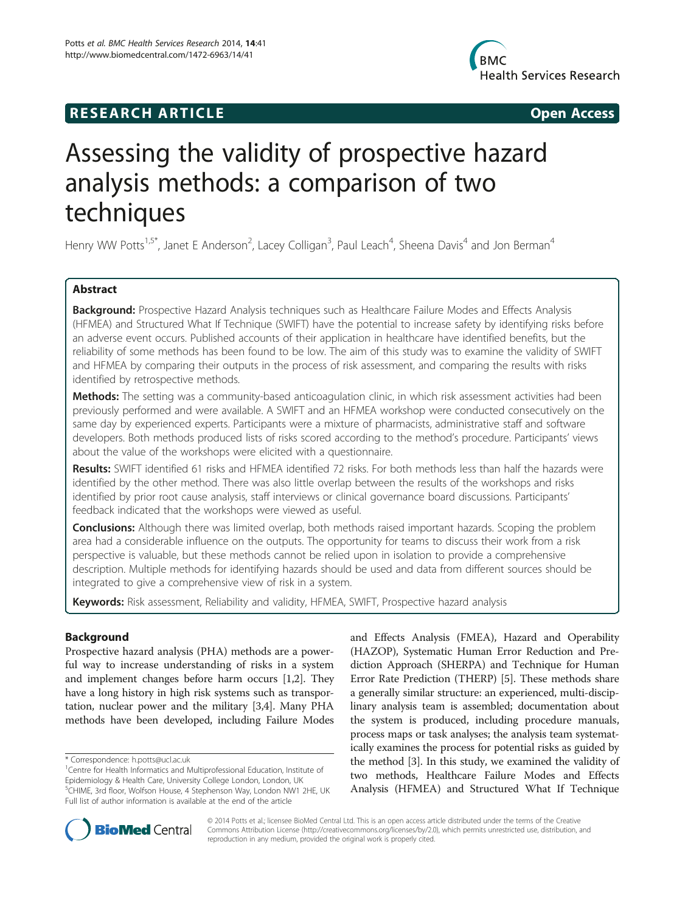



# Assessing the validity of prospective hazard analysis methods: a comparison of two techniques

Henry WW Potts<sup>1,5\*</sup>, Janet E Anderson<sup>2</sup>, Lacey Colligan<sup>3</sup>, Paul Leach<sup>4</sup>, Sheena Davis<sup>4</sup> and Jon Berman<sup>4</sup>

# Abstract

Background: Prospective Hazard Analysis techniques such as Healthcare Failure Modes and Effects Analysis (HFMEA) and Structured What If Technique (SWIFT) have the potential to increase safety by identifying risks before an adverse event occurs. Published accounts of their application in healthcare have identified benefits, but the reliability of some methods has been found to be low. The aim of this study was to examine the validity of SWIFT and HFMEA by comparing their outputs in the process of risk assessment, and comparing the results with risks identified by retrospective methods.

Methods: The setting was a community-based anticoagulation clinic, in which risk assessment activities had been previously performed and were available. A SWIFT and an HFMEA workshop were conducted consecutively on the same day by experienced experts. Participants were a mixture of pharmacists, administrative staff and software developers. Both methods produced lists of risks scored according to the method's procedure. Participants' views about the value of the workshops were elicited with a questionnaire.

Results: SWIFT identified 61 risks and HFMEA identified 72 risks. For both methods less than half the hazards were identified by the other method. There was also little overlap between the results of the workshops and risks identified by prior root cause analysis, staff interviews or clinical governance board discussions. Participants' feedback indicated that the workshops were viewed as useful.

**Conclusions:** Although there was limited overlap, both methods raised important hazards. Scoping the problem area had a considerable influence on the outputs. The opportunity for teams to discuss their work from a risk perspective is valuable, but these methods cannot be relied upon in isolation to provide a comprehensive description. Multiple methods for identifying hazards should be used and data from different sources should be integrated to give a comprehensive view of risk in a system.

Keywords: Risk assessment, Reliability and validity, HFMEA, SWIFT, Prospective hazard analysis

# Background

Prospective hazard analysis (PHA) methods are a powerful way to increase understanding of risks in a system and implement changes before harm occurs [\[1,2\]](#page-9-0). They have a long history in high risk systems such as transportation, nuclear power and the military [\[3,4](#page-9-0)]. Many PHA methods have been developed, including Failure Modes

\* Correspondence: [h.potts@ucl.ac.uk](mailto:h.potts@ucl.ac.uk) <sup>1</sup>

and Effects Analysis (FMEA), Hazard and Operability (HAZOP), Systematic Human Error Reduction and Prediction Approach (SHERPA) and Technique for Human Error Rate Prediction (THERP) [[5](#page-9-0)]. These methods share a generally similar structure: an experienced, multi-disciplinary analysis team is assembled; documentation about the system is produced, including procedure manuals, process maps or task analyses; the analysis team systematically examines the process for potential risks as guided by the method [[3](#page-9-0)]. In this study, we examined the validity of two methods, Healthcare Failure Modes and Effects Analysis (HFMEA) and Structured What If Technique



© 2014 Potts et al.; licensee BioMed Central Ltd. This is an open access article distributed under the terms of the Creative Commons Attribution License [\(http://creativecommons.org/licenses/by/2.0\)](http://creativecommons.org/licenses/by/2.0), which permits unrestricted use, distribution, and reproduction in any medium, provided the original work is properly cited.

<sup>&</sup>lt;sup>1</sup> Centre for Health Informatics and Multiprofessional Education, Institute of Epidemiology & Health Care, University College London, London, UK <sup>5</sup>CHIME, 3rd floor, Wolfson House, 4 Stephenson Way, London NW1 2HE, UK Full list of author information is available at the end of the article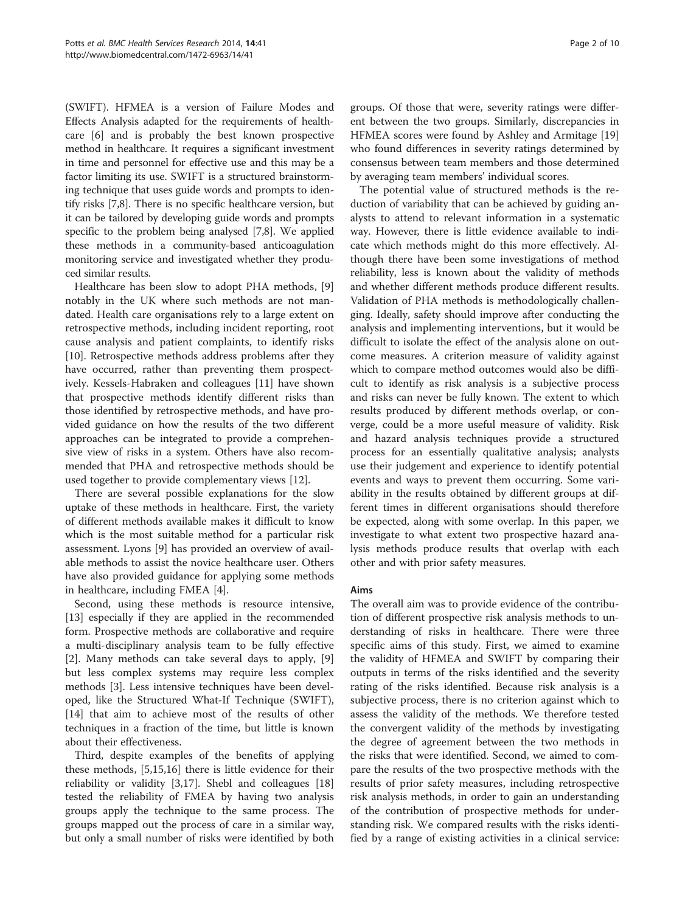(SWIFT). HFMEA is a version of Failure Modes and Effects Analysis adapted for the requirements of healthcare [\[6](#page-9-0)] and is probably the best known prospective method in healthcare. It requires a significant investment in time and personnel for effective use and this may be a factor limiting its use. SWIFT is a structured brainstorming technique that uses guide words and prompts to identify risks [[7,8\]](#page-9-0). There is no specific healthcare version, but it can be tailored by developing guide words and prompts specific to the problem being analysed [[7,8](#page-9-0)]. We applied these methods in a community-based anticoagulation monitoring service and investigated whether they produced similar results.

Healthcare has been slow to adopt PHA methods, [\[9](#page-9-0)] notably in the UK where such methods are not mandated. Health care organisations rely to a large extent on retrospective methods, including incident reporting, root cause analysis and patient complaints, to identify risks [[10\]](#page-9-0). Retrospective methods address problems after they have occurred, rather than preventing them prospectively. Kessels-Habraken and colleagues [[11\]](#page-9-0) have shown that prospective methods identify different risks than those identified by retrospective methods, and have provided guidance on how the results of the two different approaches can be integrated to provide a comprehensive view of risks in a system. Others have also recommended that PHA and retrospective methods should be used together to provide complementary views [[12\]](#page-9-0).

There are several possible explanations for the slow uptake of these methods in healthcare. First, the variety of different methods available makes it difficult to know which is the most suitable method for a particular risk assessment. Lyons [[9\]](#page-9-0) has provided an overview of available methods to assist the novice healthcare user. Others have also provided guidance for applying some methods in healthcare, including FMEA [[4\]](#page-9-0).

Second, using these methods is resource intensive, [[13\]](#page-9-0) especially if they are applied in the recommended form. Prospective methods are collaborative and require a multi-disciplinary analysis team to be fully effective [[2\]](#page-9-0). Many methods can take several days to apply, [\[9](#page-9-0)] but less complex systems may require less complex methods [[3\]](#page-9-0). Less intensive techniques have been developed, like the Structured What-If Technique (SWIFT), [[14\]](#page-9-0) that aim to achieve most of the results of other techniques in a fraction of the time, but little is known about their effectiveness.

Third, despite examples of the benefits of applying these methods, [[5](#page-9-0),[15](#page-9-0),[16](#page-9-0)] there is little evidence for their reliability or validity [\[3,17\]](#page-9-0). Shebl and colleagues [[18](#page-9-0)] tested the reliability of FMEA by having two analysis groups apply the technique to the same process. The groups mapped out the process of care in a similar way, but only a small number of risks were identified by both

groups. Of those that were, severity ratings were different between the two groups. Similarly, discrepancies in HFMEA scores were found by Ashley and Armitage [[19](#page-9-0)] who found differences in severity ratings determined by consensus between team members and those determined by averaging team members' individual scores.

The potential value of structured methods is the reduction of variability that can be achieved by guiding analysts to attend to relevant information in a systematic way. However, there is little evidence available to indicate which methods might do this more effectively. Although there have been some investigations of method reliability, less is known about the validity of methods and whether different methods produce different results. Validation of PHA methods is methodologically challenging. Ideally, safety should improve after conducting the analysis and implementing interventions, but it would be difficult to isolate the effect of the analysis alone on outcome measures. A criterion measure of validity against which to compare method outcomes would also be difficult to identify as risk analysis is a subjective process and risks can never be fully known. The extent to which results produced by different methods overlap, or converge, could be a more useful measure of validity. Risk and hazard analysis techniques provide a structured process for an essentially qualitative analysis; analysts use their judgement and experience to identify potential events and ways to prevent them occurring. Some variability in the results obtained by different groups at different times in different organisations should therefore be expected, along with some overlap. In this paper, we investigate to what extent two prospective hazard analysis methods produce results that overlap with each other and with prior safety measures.

# Aims

The overall aim was to provide evidence of the contribution of different prospective risk analysis methods to understanding of risks in healthcare. There were three specific aims of this study. First, we aimed to examine the validity of HFMEA and SWIFT by comparing their outputs in terms of the risks identified and the severity rating of the risks identified. Because risk analysis is a subjective process, there is no criterion against which to assess the validity of the methods. We therefore tested the convergent validity of the methods by investigating the degree of agreement between the two methods in the risks that were identified. Second, we aimed to compare the results of the two prospective methods with the results of prior safety measures, including retrospective risk analysis methods, in order to gain an understanding of the contribution of prospective methods for understanding risk. We compared results with the risks identified by a range of existing activities in a clinical service: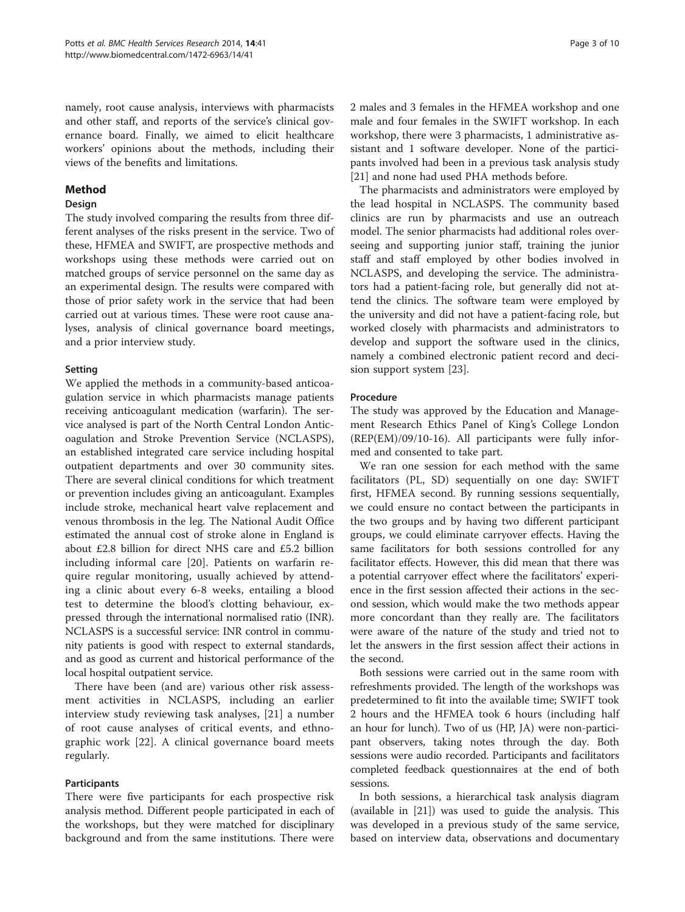namely, root cause analysis, interviews with pharmacists and other staff, and reports of the service's clinical governance board. Finally, we aimed to elicit healthcare workers' opinions about the methods, including their views of the benefits and limitations.

# Method

## **Design**

The study involved comparing the results from three different analyses of the risks present in the service. Two of these, HFMEA and SWIFT, are prospective methods and workshops using these methods were carried out on matched groups of service personnel on the same day as an experimental design. The results were compared with those of prior safety work in the service that had been carried out at various times. These were root cause analyses, analysis of clinical governance board meetings, and a prior interview study.

## Setting

We applied the methods in a community-based anticoagulation service in which pharmacists manage patients receiving anticoagulant medication (warfarin). The service analysed is part of the North Central London Anticoagulation and Stroke Prevention Service (NCLASPS), an established integrated care service including hospital outpatient departments and over 30 community sites. There are several clinical conditions for which treatment or prevention includes giving an anticoagulant. Examples include stroke, mechanical heart valve replacement and venous thrombosis in the leg. The National Audit Office estimated the annual cost of stroke alone in England is about £2.8 billion for direct NHS care and £5.2 billion including informal care [[20\]](#page-9-0). Patients on warfarin require regular monitoring, usually achieved by attending a clinic about every 6-8 weeks, entailing a blood test to determine the blood's clotting behaviour, expressed through the international normalised ratio (INR). NCLASPS is a successful service: INR control in community patients is good with respect to external standards, and as good as current and historical performance of the local hospital outpatient service.

There have been (and are) various other risk assessment activities in NCLASPS, including an earlier interview study reviewing task analyses, [[21](#page-9-0)] a number of root cause analyses of critical events, and ethnographic work [[22\]](#page-9-0). A clinical governance board meets regularly.

### Participants

There were five participants for each prospective risk analysis method. Different people participated in each of the workshops, but they were matched for disciplinary background and from the same institutions. There were 2 males and 3 females in the HFMEA workshop and one male and four females in the SWIFT workshop. In each workshop, there were 3 pharmacists, 1 administrative assistant and 1 software developer. None of the participants involved had been in a previous task analysis study [[21\]](#page-9-0) and none had used PHA methods before.

The pharmacists and administrators were employed by the lead hospital in NCLASPS. The community based clinics are run by pharmacists and use an outreach model. The senior pharmacists had additional roles overseeing and supporting junior staff, training the junior staff and staff employed by other bodies involved in NCLASPS, and developing the service. The administrators had a patient-facing role, but generally did not attend the clinics. The software team were employed by the university and did not have a patient-facing role, but worked closely with pharmacists and administrators to develop and support the software used in the clinics, namely a combined electronic patient record and decision support system [[23\]](#page-9-0).

## Procedure

The study was approved by the Education and Management Research Ethics Panel of King's College London (REP(EM)/09/10-16). All participants were fully informed and consented to take part.

We ran one session for each method with the same facilitators (PL, SD) sequentially on one day: SWIFT first, HFMEA second. By running sessions sequentially, we could ensure no contact between the participants in the two groups and by having two different participant groups, we could eliminate carryover effects. Having the same facilitators for both sessions controlled for any facilitator effects. However, this did mean that there was a potential carryover effect where the facilitators' experience in the first session affected their actions in the second session, which would make the two methods appear more concordant than they really are. The facilitators were aware of the nature of the study and tried not to let the answers in the first session affect their actions in the second.

Both sessions were carried out in the same room with refreshments provided. The length of the workshops was predetermined to fit into the available time; SWIFT took 2 hours and the HFMEA took 6 hours (including half an hour for lunch). Two of us (HP, JA) were non-participant observers, taking notes through the day. Both sessions were audio recorded. Participants and facilitators completed feedback questionnaires at the end of both sessions.

In both sessions, a hierarchical task analysis diagram (available in [[21](#page-9-0)]) was used to guide the analysis. This was developed in a previous study of the same service, based on interview data, observations and documentary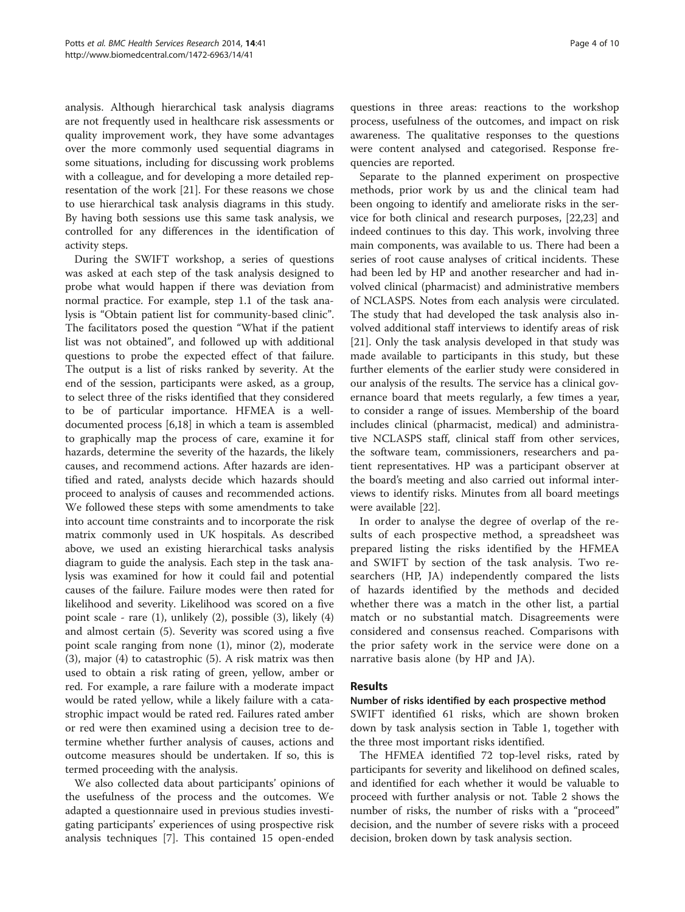analysis. Although hierarchical task analysis diagrams are not frequently used in healthcare risk assessments or quality improvement work, they have some advantages over the more commonly used sequential diagrams in some situations, including for discussing work problems with a colleague, and for developing a more detailed representation of the work [\[21](#page-9-0)]. For these reasons we chose to use hierarchical task analysis diagrams in this study. By having both sessions use this same task analysis, we controlled for any differences in the identification of activity steps.

During the SWIFT workshop, a series of questions was asked at each step of the task analysis designed to probe what would happen if there was deviation from normal practice. For example, step 1.1 of the task analysis is "Obtain patient list for community-based clinic". The facilitators posed the question "What if the patient list was not obtained", and followed up with additional questions to probe the expected effect of that failure. The output is a list of risks ranked by severity. At the end of the session, participants were asked, as a group, to select three of the risks identified that they considered to be of particular importance. HFMEA is a welldocumented process [\[6,18](#page-9-0)] in which a team is assembled to graphically map the process of care, examine it for hazards, determine the severity of the hazards, the likely causes, and recommend actions. After hazards are identified and rated, analysts decide which hazards should proceed to analysis of causes and recommended actions. We followed these steps with some amendments to take into account time constraints and to incorporate the risk matrix commonly used in UK hospitals. As described above, we used an existing hierarchical tasks analysis diagram to guide the analysis. Each step in the task analysis was examined for how it could fail and potential causes of the failure. Failure modes were then rated for likelihood and severity. Likelihood was scored on a five point scale - rare (1), unlikely (2), possible (3), likely (4) and almost certain (5). Severity was scored using a five point scale ranging from none (1), minor (2), moderate (3), major (4) to catastrophic (5). A risk matrix was then used to obtain a risk rating of green, yellow, amber or red. For example, a rare failure with a moderate impact would be rated yellow, while a likely failure with a catastrophic impact would be rated red. Failures rated amber or red were then examined using a decision tree to determine whether further analysis of causes, actions and outcome measures should be undertaken. If so, this is termed proceeding with the analysis.

We also collected data about participants' opinions of the usefulness of the process and the outcomes. We adapted a questionnaire used in previous studies investigating participants' experiences of using prospective risk analysis techniques [[7\]](#page-9-0). This contained 15 open-ended

questions in three areas: reactions to the workshop process, usefulness of the outcomes, and impact on risk awareness. The qualitative responses to the questions were content analysed and categorised. Response frequencies are reported.

Separate to the planned experiment on prospective methods, prior work by us and the clinical team had been ongoing to identify and ameliorate risks in the service for both clinical and research purposes, [\[22,23\]](#page-9-0) and indeed continues to this day. This work, involving three main components, was available to us. There had been a series of root cause analyses of critical incidents. These had been led by HP and another researcher and had involved clinical (pharmacist) and administrative members of NCLASPS. Notes from each analysis were circulated. The study that had developed the task analysis also involved additional staff interviews to identify areas of risk [[21\]](#page-9-0). Only the task analysis developed in that study was made available to participants in this study, but these further elements of the earlier study were considered in our analysis of the results. The service has a clinical governance board that meets regularly, a few times a year, to consider a range of issues. Membership of the board includes clinical (pharmacist, medical) and administrative NCLASPS staff, clinical staff from other services, the software team, commissioners, researchers and patient representatives. HP was a participant observer at the board's meeting and also carried out informal interviews to identify risks. Minutes from all board meetings were available [[22\]](#page-9-0).

In order to analyse the degree of overlap of the results of each prospective method, a spreadsheet was prepared listing the risks identified by the HFMEA and SWIFT by section of the task analysis. Two researchers (HP, JA) independently compared the lists of hazards identified by the methods and decided whether there was a match in the other list, a partial match or no substantial match. Disagreements were considered and consensus reached. Comparisons with the prior safety work in the service were done on a narrative basis alone (by HP and JA).

## Results

# Number of risks identified by each prospective method

SWIFT identified 61 risks, which are shown broken down by task analysis section in Table [1,](#page-4-0) together with the three most important risks identified.

The HFMEA identified 72 top-level risks, rated by participants for severity and likelihood on defined scales, and identified for each whether it would be valuable to proceed with further analysis or not. Table [2](#page-4-0) shows the number of risks, the number of risks with a "proceed" decision, and the number of severe risks with a proceed decision, broken down by task analysis section.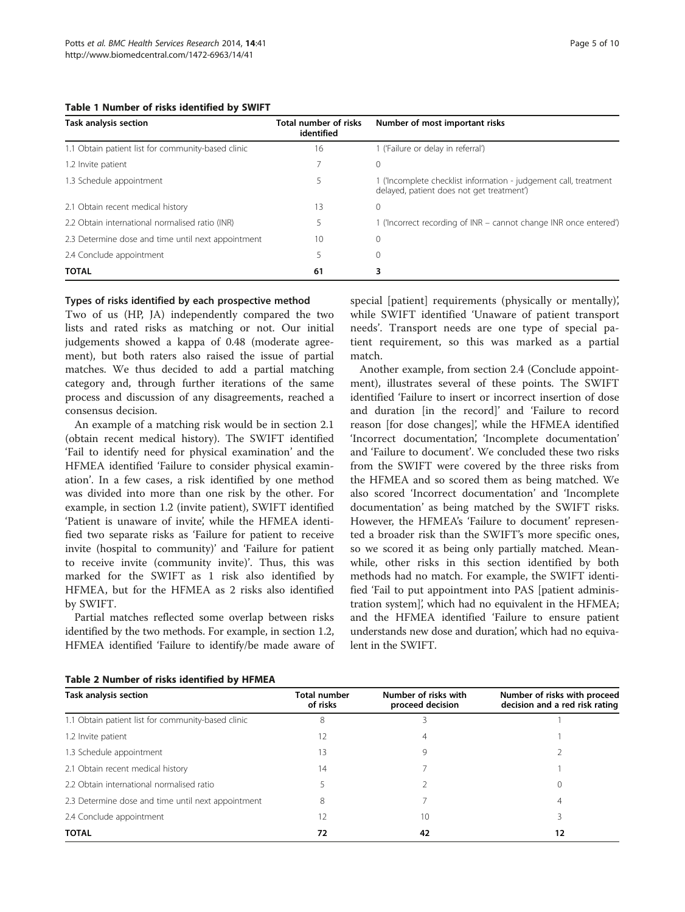## <span id="page-4-0"></span>Table 1 Number of risks identified by SWIFT

| <b>Task analysis section</b>                       | Total number of risks<br>identified | Number of most important risks                                                                                |  |
|----------------------------------------------------|-------------------------------------|---------------------------------------------------------------------------------------------------------------|--|
| 1.1 Obtain patient list for community-based clinic | 16                                  | 1 ('Failure or delay in referral')                                                                            |  |
| 1.2 Invite patient                                 | 7                                   | 0                                                                                                             |  |
| 1.3 Schedule appointment                           | 5                                   | 1 ('Incomplete checklist information - judgement call, treatment<br>delayed, patient does not get treatment') |  |
| 2.1 Obtain recent medical history                  | 13                                  | 0                                                                                                             |  |
| 2.2 Obtain international normalised ratio (INR)    |                                     | 1 ('Incorrect recording of INR – cannot change INR once entered')                                             |  |
| 2.3 Determine dose and time until next appointment | 10                                  | 0                                                                                                             |  |
| 2.4 Conclude appointment                           |                                     | 0                                                                                                             |  |
| <b>TOTAL</b>                                       | 61                                  | 3                                                                                                             |  |

### Types of risks identified by each prospective method

Two of us (HP, JA) independently compared the two lists and rated risks as matching or not. Our initial judgements showed a kappa of 0.48 (moderate agreement), but both raters also raised the issue of partial matches. We thus decided to add a partial matching category and, through further iterations of the same process and discussion of any disagreements, reached a consensus decision.

An example of a matching risk would be in section 2.1 (obtain recent medical history). The SWIFT identified 'Fail to identify need for physical examination' and the HFMEA identified 'Failure to consider physical examination'. In a few cases, a risk identified by one method was divided into more than one risk by the other. For example, in section 1.2 (invite patient), SWIFT identified 'Patient is unaware of invite', while the HFMEA identified two separate risks as 'Failure for patient to receive invite (hospital to community)' and 'Failure for patient to receive invite (community invite)'. Thus, this was marked for the SWIFT as 1 risk also identified by HFMEA, but for the HFMEA as 2 risks also identified by SWIFT.

Partial matches reflected some overlap between risks identified by the two methods. For example, in section 1.2, HFMEA identified 'Failure to identify/be made aware of special [patient] requirements (physically or mentally)', while SWIFT identified 'Unaware of patient transport needs'. Transport needs are one type of special patient requirement, so this was marked as a partial match.

Another example, from section 2.4 (Conclude appointment), illustrates several of these points. The SWIFT identified 'Failure to insert or incorrect insertion of dose and duration [in the record]' and 'Failure to record reason [for dose changes]', while the HFMEA identified 'Incorrect documentation', 'Incomplete documentation' and 'Failure to document'. We concluded these two risks from the SWIFT were covered by the three risks from the HFMEA and so scored them as being matched. We also scored 'Incorrect documentation' and 'Incomplete documentation' as being matched by the SWIFT risks. However, the HFMEA's 'Failure to document' represented a broader risk than the SWIFT's more specific ones, so we scored it as being only partially matched. Meanwhile, other risks in this section identified by both methods had no match. For example, the SWIFT identified 'Fail to put appointment into PAS [patient administration system]', which had no equivalent in the HFMEA; and the HFMEA identified 'Failure to ensure patient understands new dose and duration', which had no equivalent in the SWIFT.

| <b>Task analysis section</b>                       | <b>Total number</b><br>of risks | Number of risks with<br>proceed decision | Number of risks with proceed<br>decision and a red risk rating |
|----------------------------------------------------|---------------------------------|------------------------------------------|----------------------------------------------------------------|
| 1.1 Obtain patient list for community-based clinic | 8                               |                                          |                                                                |
| 1.2 Invite patient                                 | 12                              | 4                                        |                                                                |
| 1.3 Schedule appointment                           | 13                              | 9                                        |                                                                |
| 2.1 Obtain recent medical history                  | 14                              |                                          |                                                                |
| 2.2 Obtain international normalised ratio          |                                 |                                          | 0                                                              |
| 2.3 Determine dose and time until next appointment | 8                               |                                          | 4                                                              |
| 2.4 Conclude appointment                           | 12                              | 10                                       |                                                                |
| <b>TOTAL</b>                                       | 72                              | 42                                       | 12                                                             |

## Table 2 Number of risks identified by HFMEA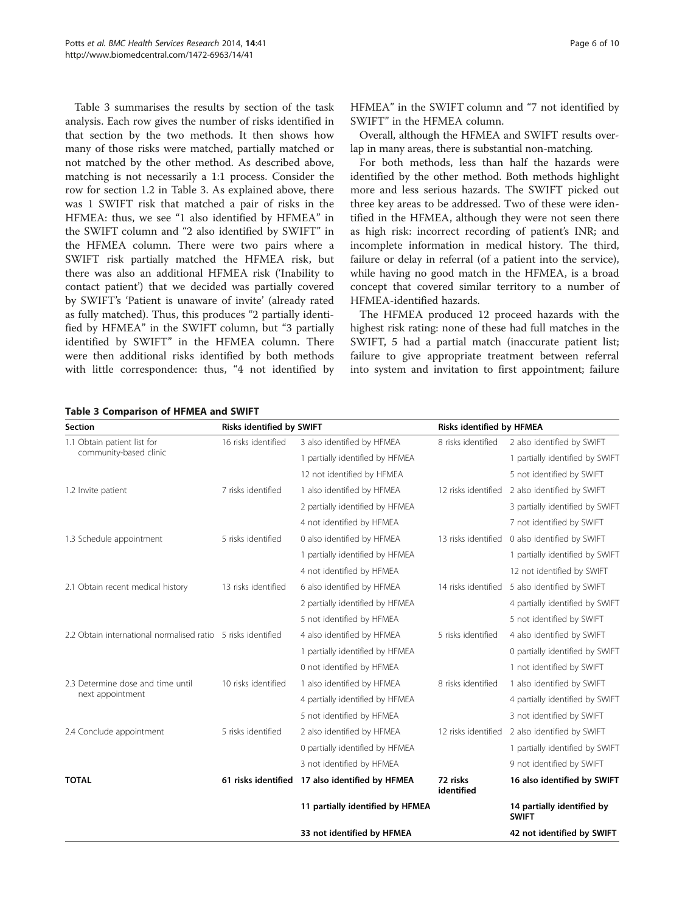Table 3 summarises the results by section of the task analysis. Each row gives the number of risks identified in that section by the two methods. It then shows how many of those risks were matched, partially matched or not matched by the other method. As described above, matching is not necessarily a 1:1 process. Consider the row for section 1.2 in Table 3. As explained above, there was 1 SWIFT risk that matched a pair of risks in the HFMEA: thus, we see "1 also identified by HFMEA" in the SWIFT column and "2 also identified by SWIFT" in the HFMEA column. There were two pairs where a SWIFT risk partially matched the HFMEA risk, but there was also an additional HFMEA risk ('Inability to contact patient') that we decided was partially covered by SWIFT's 'Patient is unaware of invite' (already rated as fully matched). Thus, this produces "2 partially identified by HFMEA" in the SWIFT column, but "3 partially identified by SWIFT" in the HFMEA column. There were then additional risks identified by both methods with little correspondence: thus, "4 not identified by HFMEA" in the SWIFT column and "7 not identified by SWIFT" in the HFMEA column.

Overall, although the HFMEA and SWIFT results overlap in many areas, there is substantial non-matching.

For both methods, less than half the hazards were identified by the other method. Both methods highlight more and less serious hazards. The SWIFT picked out three key areas to be addressed. Two of these were identified in the HFMEA, although they were not seen there as high risk: incorrect recording of patient's INR; and incomplete information in medical history. The third, failure or delay in referral (of a patient into the service), while having no good match in the HFMEA, is a broad concept that covered similar territory to a number of HFMEA-identified hazards.

The HFMEA produced 12 proceed hazards with the highest risk rating: none of these had full matches in the SWIFT, 5 had a partial match (inaccurate patient list; failure to give appropriate treatment between referral into system and invitation to first appointment; failure

| <b>Section</b>                                               | Risks identified by SWIFT |                                                 | Risks identified by HFMEA |                                            |
|--------------------------------------------------------------|---------------------------|-------------------------------------------------|---------------------------|--------------------------------------------|
| 1.1 Obtain patient list for<br>community-based clinic        | 16 risks identified       | 3 also identified by HFMEA                      | 8 risks identified        | 2 also identified by SWIFT                 |
|                                                              |                           | 1 partially identified by HFMEA                 |                           | 1 partially identified by SWIFT            |
|                                                              |                           | 12 not identified by HFMEA                      |                           | 5 not identified by SWIFT                  |
| 1.2 Invite patient                                           | 7 risks identified        | 1 also identified by HFMEA                      | 12 risks identified       | 2 also identified by SWIFT                 |
|                                                              |                           | 2 partially identified by HFMEA                 |                           | 3 partially identified by SWIFT            |
|                                                              |                           | 4 not identified by HFMEA                       |                           | 7 not identified by SWIFT                  |
| 1.3 Schedule appointment                                     | 5 risks identified        | 0 also identified by HFMEA                      | 13 risks identified       | 0 also identified by SWIFT                 |
|                                                              |                           | 1 partially identified by HFMEA                 |                           | 1 partially identified by SWIFT            |
|                                                              |                           | 4 not identified by HFMEA                       |                           | 12 not identified by SWIFT                 |
| 2.1 Obtain recent medical history                            | 13 risks identified       | 6 also identified by HFMEA                      | 14 risks identified       | 5 also identified by SWIFT                 |
|                                                              |                           | 2 partially identified by HFMEA                 |                           | 4 partially identified by SWIFT            |
|                                                              |                           | 5 not identified by HFMEA                       |                           | 5 not identified by SWIFT                  |
| 2.2 Obtain international normalised ratio 5 risks identified |                           | 4 also identified by HFMEA                      | 5 risks identified        | 4 also identified by SWIFT                 |
|                                                              |                           | 1 partially identified by HFMEA                 |                           | 0 partially identified by SWIFT            |
|                                                              |                           | 0 not identified by HFMEA                       |                           | 1 not identified by SWIFT                  |
| 2.3 Determine dose and time until<br>next appointment        | 10 risks identified       | 1 also identified by HFMEA                      | 8 risks identified        | 1 also identified by SWIFT                 |
|                                                              |                           | 4 partially identified by HFMEA                 |                           | 4 partially identified by SWIFT            |
|                                                              |                           | 5 not identified by HFMEA                       |                           | 3 not identified by SWIFT                  |
| 2.4 Conclude appointment                                     | 5 risks identified        | 2 also identified by HFMEA                      | 12 risks identified       | 2 also identified by SWIFT                 |
|                                                              |                           | 0 partially identified by HFMEA                 |                           | 1 partially identified by SWIFT            |
|                                                              |                           | 3 not identified by HFMEA                       |                           | 9 not identified by SWIFT                  |
| <b>TOTAL</b>                                                 |                           | 61 risks identified 17 also identified by HFMEA | 72 risks<br>identified    | 16 also identified by SWIFT                |
|                                                              |                           | 11 partially identified by HFMEA                |                           | 14 partially identified by<br><b>SWIFT</b> |
|                                                              |                           | 33 not identified by HFMEA                      |                           | 42 not identified by SWIFT                 |

#### Table 3 Comparison of HFMEA and SWIFT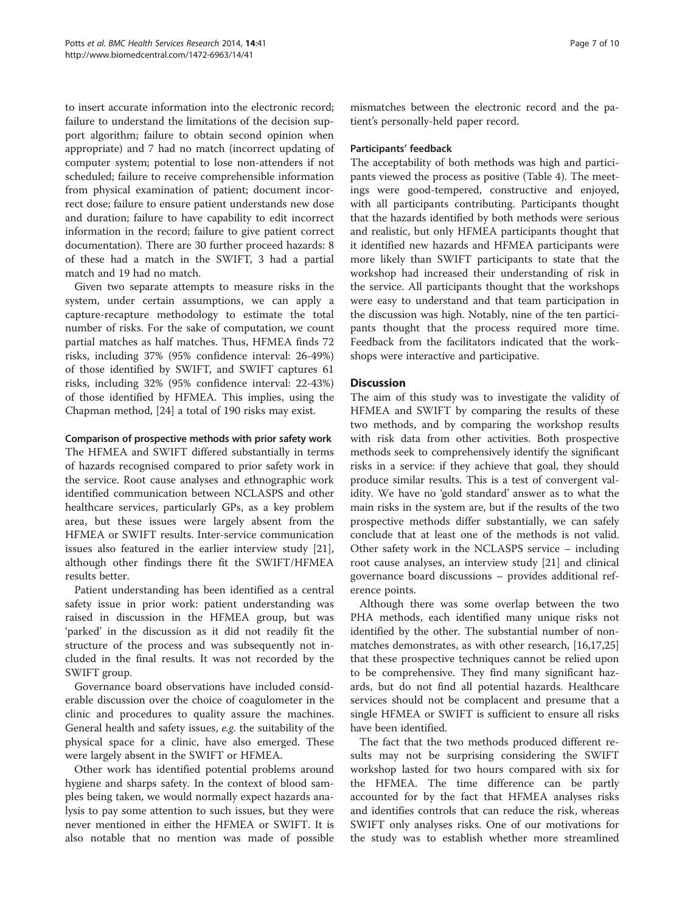to insert accurate information into the electronic record; failure to understand the limitations of the decision support algorithm; failure to obtain second opinion when appropriate) and 7 had no match (incorrect updating of computer system; potential to lose non-attenders if not scheduled; failure to receive comprehensible information from physical examination of patient; document incorrect dose; failure to ensure patient understands new dose and duration; failure to have capability to edit incorrect information in the record; failure to give patient correct documentation). There are 30 further proceed hazards: 8 of these had a match in the SWIFT, 3 had a partial match and 19 had no match.

Given two separate attempts to measure risks in the system, under certain assumptions, we can apply a capture-recapture methodology to estimate the total number of risks. For the sake of computation, we count partial matches as half matches. Thus, HFMEA finds 72 risks, including 37% (95% confidence interval: 26-49%) of those identified by SWIFT, and SWIFT captures 61 risks, including 32% (95% confidence interval: 22-43%) of those identified by HFMEA. This implies, using the Chapman method, [[24\]](#page-9-0) a total of 190 risks may exist.

# Comparison of prospective methods with prior safety work

The HFMEA and SWIFT differed substantially in terms of hazards recognised compared to prior safety work in the service. Root cause analyses and ethnographic work identified communication between NCLASPS and other healthcare services, particularly GPs, as a key problem area, but these issues were largely absent from the HFMEA or SWIFT results. Inter-service communication issues also featured in the earlier interview study [\[21](#page-9-0)], although other findings there fit the SWIFT/HFMEA results better.

Patient understanding has been identified as a central safety issue in prior work: patient understanding was raised in discussion in the HFMEA group, but was 'parked' in the discussion as it did not readily fit the structure of the process and was subsequently not included in the final results. It was not recorded by the SWIFT group.

Governance board observations have included considerable discussion over the choice of coagulometer in the clinic and procedures to quality assure the machines. General health and safety issues, e.g. the suitability of the physical space for a clinic, have also emerged. These were largely absent in the SWIFT or HFMEA.

Other work has identified potential problems around hygiene and sharps safety. In the context of blood samples being taken, we would normally expect hazards analysis to pay some attention to such issues, but they were never mentioned in either the HFMEA or SWIFT. It is also notable that no mention was made of possible mismatches between the electronic record and the patient's personally-held paper record.

# Participants' feedback

The acceptability of both methods was high and participants viewed the process as positive (Table [4\)](#page-7-0). The meetings were good-tempered, constructive and enjoyed, with all participants contributing. Participants thought that the hazards identified by both methods were serious and realistic, but only HFMEA participants thought that it identified new hazards and HFMEA participants were more likely than SWIFT participants to state that the workshop had increased their understanding of risk in the service. All participants thought that the workshops were easy to understand and that team participation in the discussion was high. Notably, nine of the ten participants thought that the process required more time. Feedback from the facilitators indicated that the workshops were interactive and participative.

# **Discussion**

The aim of this study was to investigate the validity of HFMEA and SWIFT by comparing the results of these two methods, and by comparing the workshop results with risk data from other activities. Both prospective methods seek to comprehensively identify the significant risks in a service: if they achieve that goal, they should produce similar results. This is a test of convergent validity. We have no 'gold standard' answer as to what the main risks in the system are, but if the results of the two prospective methods differ substantially, we can safely conclude that at least one of the methods is not valid. Other safety work in the NCLASPS service – including root cause analyses, an interview study [\[21](#page-9-0)] and clinical governance board discussions – provides additional reference points.

Although there was some overlap between the two PHA methods, each identified many unique risks not identified by the other. The substantial number of nonmatches demonstrates, as with other research, [[16](#page-9-0),[17](#page-9-0),[25](#page-9-0)] that these prospective techniques cannot be relied upon to be comprehensive. They find many significant hazards, but do not find all potential hazards. Healthcare services should not be complacent and presume that a single HFMEA or SWIFT is sufficient to ensure all risks have been identified.

The fact that the two methods produced different results may not be surprising considering the SWIFT workshop lasted for two hours compared with six for the HFMEA. The time difference can be partly accounted for by the fact that HFMEA analyses risks and identifies controls that can reduce the risk, whereas SWIFT only analyses risks. One of our motivations for the study was to establish whether more streamlined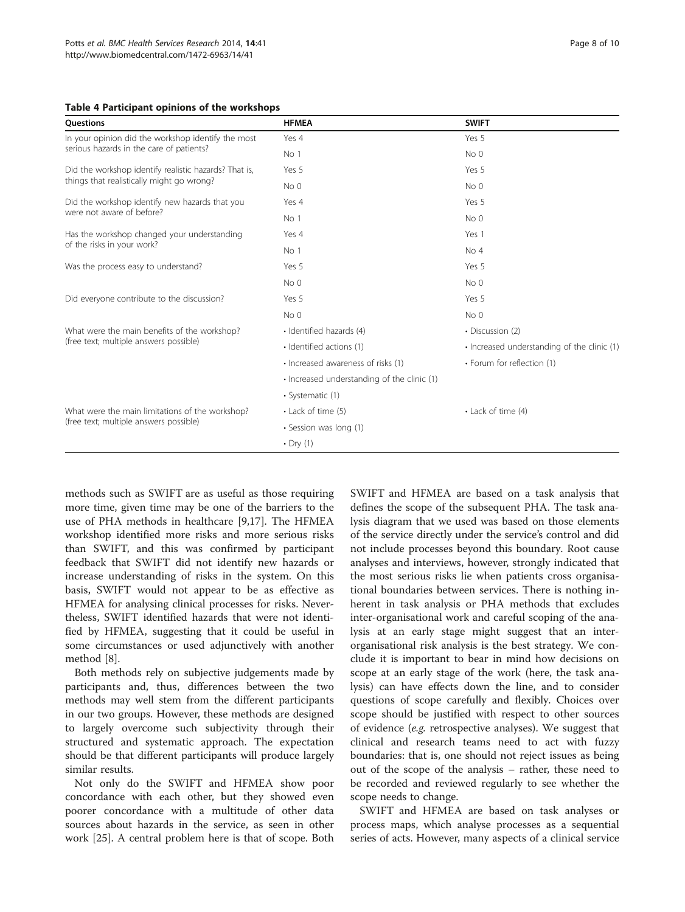<span id="page-7-0"></span>

| <b>Ouestions</b>                                                                                   | <b>HFMEA</b>                                | <b>SWIFT</b>                                |  |  |
|----------------------------------------------------------------------------------------------------|---------------------------------------------|---------------------------------------------|--|--|
| In your opinion did the workshop identify the most<br>serious hazards in the care of patients?     | Yes 4                                       | Yes 5                                       |  |  |
|                                                                                                    | No 1                                        | No <sub>0</sub>                             |  |  |
| Did the workshop identify realistic hazards? That is,<br>things that realistically might go wrong? | Yes 5                                       | Yes 5                                       |  |  |
|                                                                                                    | No <sub>0</sub>                             | No <sub>0</sub>                             |  |  |
| Did the workshop identify new hazards that you<br>were not aware of before?                        | Yes 4                                       | Yes 5                                       |  |  |
|                                                                                                    | No 1                                        | No <sub>0</sub>                             |  |  |
| Has the workshop changed your understanding<br>of the risks in your work?                          | Yes 4                                       | Yes 1                                       |  |  |
|                                                                                                    | No 1                                        | No <sub>4</sub>                             |  |  |
| Was the process easy to understand?                                                                | Yes 5                                       | Yes 5                                       |  |  |
|                                                                                                    | No <sub>0</sub>                             | No <sub>0</sub>                             |  |  |
| Did everyone contribute to the discussion?                                                         | Yes 5                                       | Yes 5                                       |  |  |
|                                                                                                    | No <sub>0</sub>                             | No <sub>0</sub>                             |  |  |
| What were the main benefits of the workshop?<br>(free text; multiple answers possible)             | · Identified hazards (4)                    | • Discussion (2)                            |  |  |
|                                                                                                    | · Identified actions (1)                    | · Increased understanding of the clinic (1) |  |  |
|                                                                                                    | · Increased awareness of risks (1)          | • Forum for reflection (1)                  |  |  |
|                                                                                                    | · Increased understanding of the clinic (1) |                                             |  |  |
|                                                                                                    | · Systematic (1)                            |                                             |  |  |
| What were the main limitations of the workshop?<br>(free text; multiple answers possible)          | • Lack of time (5)                          | • Lack of time (4)                          |  |  |
|                                                                                                    | • Session was long (1)                      |                                             |  |  |
|                                                                                                    | $\cdot$ Dry (1)                             |                                             |  |  |

methods such as SWIFT are as useful as those requiring more time, given time may be one of the barriers to the use of PHA methods in healthcare [[9,17\]](#page-9-0). The HFMEA workshop identified more risks and more serious risks than SWIFT, and this was confirmed by participant feedback that SWIFT did not identify new hazards or increase understanding of risks in the system. On this basis, SWIFT would not appear to be as effective as HFMEA for analysing clinical processes for risks. Nevertheless, SWIFT identified hazards that were not identified by HFMEA, suggesting that it could be useful in some circumstances or used adjunctively with another method [\[8](#page-9-0)].

Both methods rely on subjective judgements made by participants and, thus, differences between the two methods may well stem from the different participants in our two groups. However, these methods are designed to largely overcome such subjectivity through their structured and systematic approach. The expectation should be that different participants will produce largely similar results.

Not only do the SWIFT and HFMEA show poor concordance with each other, but they showed even poorer concordance with a multitude of other data sources about hazards in the service, as seen in other work [[25\]](#page-9-0). A central problem here is that of scope. Both SWIFT and HFMEA are based on a task analysis that defines the scope of the subsequent PHA. The task analysis diagram that we used was based on those elements of the service directly under the service's control and did not include processes beyond this boundary. Root cause analyses and interviews, however, strongly indicated that the most serious risks lie when patients cross organisational boundaries between services. There is nothing inherent in task analysis or PHA methods that excludes inter-organisational work and careful scoping of the analysis at an early stage might suggest that an interorganisational risk analysis is the best strategy. We conclude it is important to bear in mind how decisions on scope at an early stage of the work (here, the task analysis) can have effects down the line, and to consider questions of scope carefully and flexibly. Choices over scope should be justified with respect to other sources of evidence (e.g. retrospective analyses). We suggest that clinical and research teams need to act with fuzzy boundaries: that is, one should not reject issues as being out of the scope of the analysis – rather, these need to be recorded and reviewed regularly to see whether the scope needs to change.

SWIFT and HFMEA are based on task analyses or process maps, which analyse processes as a sequential series of acts. However, many aspects of a clinical service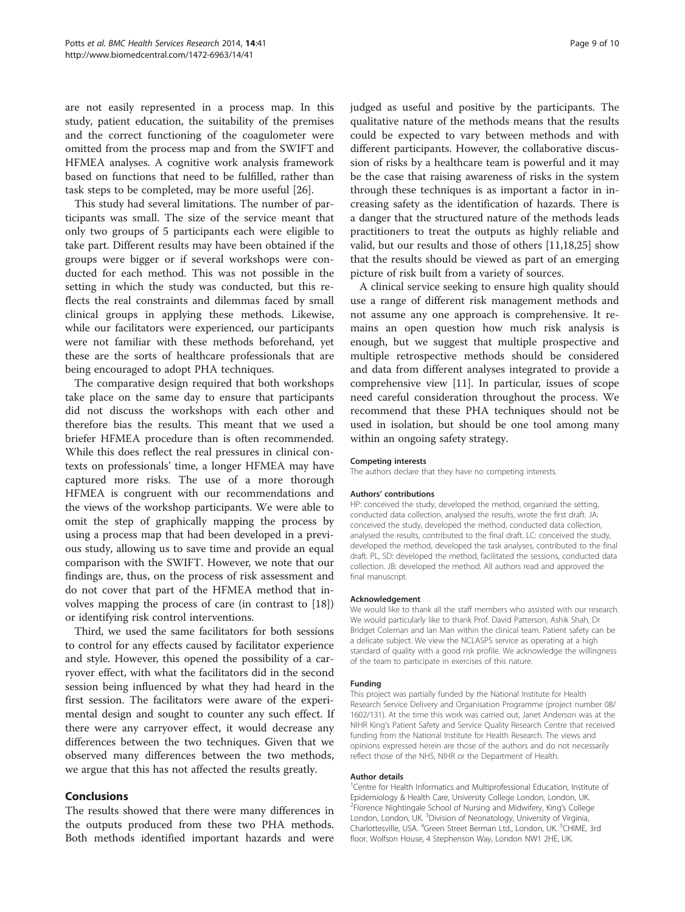are not easily represented in a process map. In this study, patient education, the suitability of the premises and the correct functioning of the coagulometer were omitted from the process map and from the SWIFT and HFMEA analyses. A cognitive work analysis framework based on functions that need to be fulfilled, rather than task steps to be completed, may be more useful [[26\]](#page-9-0).

This study had several limitations. The number of participants was small. The size of the service meant that only two groups of 5 participants each were eligible to take part. Different results may have been obtained if the groups were bigger or if several workshops were conducted for each method. This was not possible in the setting in which the study was conducted, but this reflects the real constraints and dilemmas faced by small clinical groups in applying these methods. Likewise, while our facilitators were experienced, our participants were not familiar with these methods beforehand, yet these are the sorts of healthcare professionals that are being encouraged to adopt PHA techniques.

The comparative design required that both workshops take place on the same day to ensure that participants did not discuss the workshops with each other and therefore bias the results. This meant that we used a briefer HFMEA procedure than is often recommended. While this does reflect the real pressures in clinical contexts on professionals' time, a longer HFMEA may have captured more risks. The use of a more thorough HFMEA is congruent with our recommendations and the views of the workshop participants. We were able to omit the step of graphically mapping the process by using a process map that had been developed in a previous study, allowing us to save time and provide an equal comparison with the SWIFT. However, we note that our findings are, thus, on the process of risk assessment and do not cover that part of the HFMEA method that involves mapping the process of care (in contrast to [\[18](#page-9-0)]) or identifying risk control interventions.

Third, we used the same facilitators for both sessions to control for any effects caused by facilitator experience and style. However, this opened the possibility of a carryover effect, with what the facilitators did in the second session being influenced by what they had heard in the first session. The facilitators were aware of the experimental design and sought to counter any such effect. If there were any carryover effect, it would decrease any differences between the two techniques. Given that we observed many differences between the two methods, we argue that this has not affected the results greatly.

# Conclusions

The results showed that there were many differences in the outputs produced from these two PHA methods. Both methods identified important hazards and were judged as useful and positive by the participants. The qualitative nature of the methods means that the results could be expected to vary between methods and with different participants. However, the collaborative discussion of risks by a healthcare team is powerful and it may be the case that raising awareness of risks in the system through these techniques is as important a factor in increasing safety as the identification of hazards. There is a danger that the structured nature of the methods leads practitioners to treat the outputs as highly reliable and valid, but our results and those of others [[11](#page-9-0),[18](#page-9-0),[25](#page-9-0)] show that the results should be viewed as part of an emerging picture of risk built from a variety of sources.

A clinical service seeking to ensure high quality should use a range of different risk management methods and not assume any one approach is comprehensive. It remains an open question how much risk analysis is enough, but we suggest that multiple prospective and multiple retrospective methods should be considered and data from different analyses integrated to provide a comprehensive view [[11\]](#page-9-0). In particular, issues of scope need careful consideration throughout the process. We recommend that these PHA techniques should not be used in isolation, but should be one tool among many within an ongoing safety strategy.

#### Competing interests

The authors declare that they have no competing interests.

#### Authors' contributions

HP: conceived the study, developed the method, organised the setting, conducted data collection, analysed the results, wrote the first draft. JA: conceived the study, developed the method, conducted data collection, analysed the results, contributed to the final draft. LC: conceived the study, developed the method, developed the task analyses, contributed to the final draft. PL, SD: developed the method, facilitated the sessions, conducted data collection. JB: developed the method. All authors read and approved the final manuscript.

#### Acknowledgement

We would like to thank all the staff members who assisted with our research. We would particularly like to thank Prof. David Patterson, Ashik Shah, Dr Bridget Coleman and Ian Man within the clinical team. Patient safety can be a delicate subject. We view the NCLASPS service as operating at a high standard of quality with a good risk profile. We acknowledge the willingness of the team to participate in exercises of this nature.

#### Funding

This project was partially funded by the National Institute for Health Research Service Delivery and Organisation Programme (project number 08/ 1602/131). At the time this work was carried out, Janet Anderson was at the NIHR King's Patient Safety and Service Quality Research Centre that received funding from the National Institute for Health Research. The views and opinions expressed herein are those of the authors and do not necessarily reflect those of the NHS, NIHR or the Department of Health.

#### Author details

<sup>1</sup> Centre for Health Informatics and Multiprofessional Education, Institute of Epidemiology & Health Care, University College London, London, UK. 2 Florence Nightingale School of Nursing and Midwifery, King's College London, London, UK.<sup>3</sup> Division of Neonatology, University of Virginia, Charlottesville, USA. <sup>4</sup>Green Street Berman Ltd., London, UK. <sup>5</sup>CHIME, 3rd floor, Wolfson House, 4 Stephenson Way, London NW1 2HE, UK.